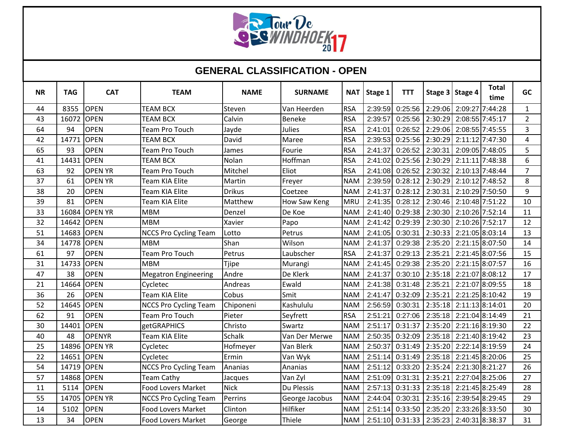

## **GENERAL CLASSIFICATION - OPEN**

| <b>NR</b> | <b>TAG</b> | <b>CAT</b>     | <b>TEAM</b>                  | <b>NAME</b>   | <b>SURNAME</b> | <b>NAT</b> | Stage 1 | <b>TTT</b> |         | Stage 3 Stage 4 | <b>Total</b><br>time | <b>GC</b>      |
|-----------|------------|----------------|------------------------------|---------------|----------------|------------|---------|------------|---------|-----------------|----------------------|----------------|
| 44        | 8355       | <b>OPEN</b>    | <b>TEAM BCX</b>              | Steven        | Van Heerden    | <b>RSA</b> | 2:39:59 | 0:25:56    | 2:29:06 | 2:09:27         | 7:44:28              | $\mathbf{1}$   |
| 43        | 16072      | <b>OPEN</b>    | <b>TEAM BCX</b>              | Calvin        | Beneke         | <b>RSA</b> | 2:39:57 | 0:25:56    | 2:30:29 |                 | 2:08:55 7:45:17      | $\overline{2}$ |
| 64        | 94         | <b>OPEN</b>    | <b>Team Pro Touch</b>        | Jayde         | Julies         | <b>RSA</b> | 2:41:01 | 0:26:52    | 2:29:06 |                 | 2:08:55 7:45:55      | 3              |
| 42        | 14771      | <b>OPEN</b>    | <b>TEAM BCX</b>              | David         | Maree          | <b>RSA</b> | 2:39:53 | 0:25:56    | 2:30:29 |                 | 2:11:12 7:47:30      | $\overline{4}$ |
| 65        | 93         | <b>OPEN</b>    | <b>Team Pro Touch</b>        | James         | Fourie         | <b>RSA</b> | 2:41:37 | 0:26:52    | 2:30:31 |                 | 2:09:05 7:48:05      | 5              |
| 41        | 14431      | <b>OPEN</b>    | <b>TEAM BCX</b>              | Nolan         | Hoffman        | <b>RSA</b> | 2:41:02 | 0:25:56    | 2:30:29 |                 | 2:11:11 7:48:38      | 6              |
| 63        | 92         | <b>OPEN YR</b> | <b>Team Pro Touch</b>        | Mitchel       | Eliot          | <b>RSA</b> | 2:41:08 | 0:26:52    | 2:30:32 |                 | 2:10:13 7:48:44      | $\overline{7}$ |
| 37        | 61         | <b>OPEN YR</b> | <b>Team KIA Elite</b>        | Martin        | Freyer         | <b>NAM</b> | 2:39:59 | 0:28:12    | 2:30:29 |                 | 2:10:12 7:48:52      | 8              |
| 38        | 20         | <b>OPEN</b>    | Team KIA Elite               | <b>Drikus</b> | Coetzee        | <b>NAM</b> | 2:41:37 | 0:28:12    | 2:30:31 |                 | 2:10:29 7:50:50      | 9              |
| 39        | 81         | <b>OPEN</b>    | <b>Team KIA Elite</b>        | Matthew       | How Saw Keng   | <b>MRU</b> | 2:41:35 | 0:28:12    | 2:30:46 |                 | 2:10:48 7:51:22      | 10             |
| 33        | 16084      | <b>OPEN YR</b> | <b>MBM</b>                   | Denzel        | De Koe         | <b>NAM</b> | 2:41:40 | 0:29:38    | 2:30:30 |                 | 2:10:26 7:52:14      | 11             |
| 32        | 14642      | <b>OPEN</b>    | <b>MBM</b>                   | Xavier        | Papo           | <b>NAM</b> | 2:41:42 | 0:29:39    | 2:30:30 |                 | 2:10:26 7:52:17      | 12             |
| 51        | 14683      | <b>OPEN</b>    | <b>NCCS Pro Cycling Team</b> | Lotto         | Petrus         | <b>NAM</b> | 2:41:05 | 0:30:31    | 2:30:33 |                 | 2:21:05 8:03:14      | 13             |
| 34        | 14778      | <b>OPEN</b>    | <b>MBM</b>                   | Shan          | Wilson         | <b>NAM</b> | 2:41:37 | 0:29:38    | 2:35:20 |                 | 2:21:15 8:07:50      | 14             |
| 61        | 97         | <b>OPEN</b>    | <b>Team Pro Touch</b>        | Petrus        | Laubscher      | <b>RSA</b> | 2:41:37 | 0:29:13    | 2:35:21 |                 | 2:21:45 8:07:56      | 15             |
| 31        | 14733      | <b>OPEN</b>    | <b>MBM</b>                   | <b>Tjipe</b>  | Murangi        | <b>NAM</b> | 2:41:45 | 0:29:38    | 2:35:20 |                 | 2:21:15 8:07:57      | 16             |
| 47        | 38         | <b>OPEN</b>    | <b>Megatron Engineering</b>  | Andre         | De Klerk       | <b>NAM</b> | 2:41:37 | 0:30:10    | 2:35:18 |                 | 2:21:07 8:08:12      | 17             |
| 21        | 14664      | <b>OPEN</b>    | Cycletec                     | Andreas       | Ewald          | <b>NAM</b> | 2:41:38 | 0:31:48    | 2:35:21 |                 | 2:21:07 8:09:55      | 18             |
| 36        | 26         | <b>OPEN</b>    | Team KIA Elite               | Cobus         | Smit           | <b>NAM</b> | 2:41:47 | 0:32:09    | 2:35:21 |                 | 2:21:25 8:10:42      | 19             |
| 52        | 14645      | <b>OPEN</b>    | <b>NCCS Pro Cycling Team</b> | Chiponeni     | Kashululu      | <b>NAM</b> | 2:56:59 | 0:30:31    | 2:35:18 |                 | 2:11:13 8:14:01      | 20             |
| 62        | 91         | <b>OPEN</b>    | Team Pro Touch               | Pieter        | Seyfrett       | <b>RSA</b> | 2:51:21 | 0:27:06    | 2:35:18 |                 | 2:21:04 8:14:49      | 21             |
| 30        | 14401      | <b>OPEN</b>    | <b>getGRAPHICS</b>           | Christo       | Swartz         | <b>NAM</b> | 2:51:17 | 0:31:37    | 2:35:20 |                 | 2:21:16 8:19:30      | 22             |
| 40        | 48         | <b>OPENYR</b>  | Team KIA Elite               | <b>Schalk</b> | Van Der Merwe  | <b>NAM</b> | 2:50:35 | 0:32:09    | 2:35:18 |                 | 2:21:40 8:19:42      | 23             |
| 25        | 14896      | <b>OPEN YR</b> | Cycletec                     | Hofmeyer      | Van Blerk      | <b>NAM</b> | 2:50:37 | 0:31:49    | 2:35:20 |                 | 2:22:14 8:19:59      | 24             |
| 22        | 14651      | OPEN           | Cycletec                     | Ermin         | Van Wyk        | <b>NAM</b> | 2:51:14 | 0:31:49    | 2:35:18 |                 | 2:21:45 8:20:06      | 25             |
| 54        | 14719      | <b>OPEN</b>    | <b>NCCS Pro Cycling Team</b> | Ananias       | Ananias        | <b>NAM</b> | 2:51:12 | 0:33:20    | 2:35:24 |                 | 2:21:30 8:21:27      | 26             |
| 57        | 14868      | <b>OPEN</b>    | <b>Team Cathy</b>            | Jacques       | Van Zyl        | <b>NAM</b> | 2:51:09 | 0:31:31    | 2:35:21 |                 | 2:27:04 8:25:06      | 27             |
| 11        | 5114       | <b>OPEN</b>    | <b>Food Lovers Market</b>    | <b>Nick</b>   | Du Plessis     | <b>NAM</b> | 2:57:13 | 0:31:33    | 2:35:18 |                 | 2:21:45 8:25:49      | 28             |
| 55        | 14705      | <b>OPEN YR</b> | <b>NCCS Pro Cycling Team</b> | Perrins       | George Jacobus | <b>NAM</b> | 2:44:04 | 0:30:31    | 2:35:16 |                 | 2:39:54 8:29:45      | 29             |
| 14        | 5102       | <b>OPEN</b>    | <b>Food Lovers Market</b>    | Clinton       | Hilfiker       | <b>NAM</b> | 2:51:14 | 0:33:50    | 2:35:20 |                 | 2:33:26 8:33:50      | 30             |
| 13        | 34         | <b>OPEN</b>    | <b>Food Lovers Market</b>    | George        | Thiele         | <b>NAM</b> | 2:51:10 | 0:31:33    | 2:35:23 |                 | 2:40:31 8:38:37      | 31             |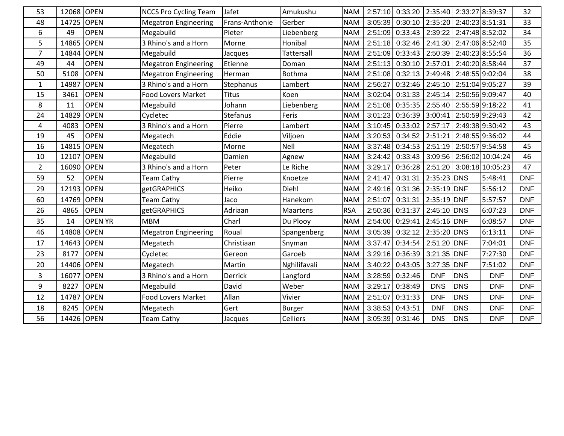| 53             | 12068 | <b>OPEN</b>    | <b>NCCS Pro Cycling Team</b> | Jafet           | Amukushu        | <b>NAM</b> | 2:57:10 | 0:33:20             | 2:35:40       |                 | 2:33:27 8:39:37  | 32         |
|----------------|-------|----------------|------------------------------|-----------------|-----------------|------------|---------|---------------------|---------------|-----------------|------------------|------------|
| 48             | 14725 | <b>OPEN</b>    | <b>Megatron Engineering</b>  | Frans-Anthonie  | Gerber          | <b>NAM</b> | 3:05:39 | 0:30:10             | 2:35:20       | 2:40:23 8:51:31 |                  | 33         |
| 6              | 49    | <b>OPEN</b>    | Megabuild                    | Pieter          | Liebenberg      | <b>NAM</b> | 2:51:09 | 0:33:43             | 2:39:22       |                 | 2:47:48 8:52:02  | 34         |
| 5              | 14865 | <b>OPEN</b>    | 3 Rhino's and a Horn         | Morne           | Honibal         | <b>NAM</b> | 2:51:18 | 0:32:46             | 2:41:30       |                 | 2:47:06 8:52:40  | 35         |
| $\overline{7}$ | 14844 | <b>OPEN</b>    | Megabuild                    | Jacques         | Tattersall      | <b>NAM</b> | 2:51:09 | 0:33:43             | 2:50:39       |                 | 2:40:23 8:55:54  | 36         |
| 49             | 44    | <b>OPEN</b>    | <b>Megatron Engineering</b>  | Etienne         | Doman           | <b>NAM</b> | 2:51:13 | 0:30:10             | 2:57:01       |                 | 2:40:20 8:58:44  | 37         |
| 50             | 5108  | <b>OPEN</b>    | <b>Megatron Engineering</b>  | Herman          | <b>Bothma</b>   | <b>NAM</b> | 2:51:08 | 0:32:13             | 2:49:48       |                 | 2:48:55 9:02:04  | 38         |
| $\mathbf{1}$   | 14987 | <b>OPEN</b>    | 3 Rhino's and a Horn         | Stephanus       | Lambert         | <b>NAM</b> | 2:56:27 | 0:32:46             | 2:45:10       |                 | 2:51:04 9:05:27  | 39         |
| 15             | 3461  | <b>OPEN</b>    | <b>Food Lovers Market</b>    | <b>Titus</b>    | Koen            | <b>NAM</b> | 3:02:04 | 0:31:33             | 2:45:14       |                 | 2:50:56 9:09:47  | 40         |
| 8              | 11    | <b>OPEN</b>    | Megabuild                    | Johann          | Liebenberg      | <b>NAM</b> | 2:51:08 | $0:35:35$ 2:55:40   |               |                 | 2:55:59 9:18:22  | 41         |
| 24             | 14829 | <b>OPEN</b>    | Cycletec                     | <b>Stefanus</b> | Feris           | <b>NAM</b> |         | 3:01:23 0:36:39     | 3:00:41       |                 | 2:50:59 9:29:43  | 42         |
| 4              | 4083  | <b>OPEN</b>    | 3 Rhino's and a Horn         | Pierre          | Lambert         | <b>NAM</b> |         | 3:10:45 0:33:02     | 2:57:17       |                 | 2:49:38 9:30:42  | 43         |
| 19             | 45    | <b>OPEN</b>    | Megatech                     | Eddie           | Viljoen         | <b>NAM</b> | 3:20:53 | 0:34:52             | 2:51:21       |                 | 2:48:55 9:36:02  | 44         |
| 16             | 14815 | <b>OPEN</b>    | Megatech                     | Morne           | Nell            | <b>NAM</b> | 3:37:48 | $0:34:53$   2:51:19 |               |                 | 2:50:57 9:54:58  | 45         |
| 10             | 12107 | <b>OPEN</b>    | Megabuild                    | Damien          | Agnew           | <b>NAM</b> | 3:24:42 | 0:33:43             | 3:09:56       |                 | 2:56:02 10:04:24 | 46         |
| $\overline{2}$ | 16090 | <b>OPEN</b>    | 3 Rhino's and a Horn         | Peter           | Le Riche        | <b>NAM</b> | 3:29:17 | 0:36:28             | 2:51:20       |                 | 3:08:18 10:05:23 | 47         |
| 59             | 52    | <b>OPEN</b>    | <b>Team Cathy</b>            | Pierre          | Knoetze         | <b>NAM</b> | 2:41:47 | 0:31:31             | 2:35:23 DNS   |                 | 5:48:41          | <b>DNF</b> |
| 29             | 12193 | <b>OPEN</b>    | <b>getGRAPHICS</b>           | Heiko           | Diehl           | <b>NAM</b> | 2:49:16 | 0:31:36             | 2:35:19 DNF   |                 | 5:56:12          | <b>DNF</b> |
| 60             | 14769 | <b>OPEN</b>    | <b>Team Cathy</b>            | Jaco            | Hanekom         | <b>NAM</b> | 2:51:07 | 0:31:31             | 2:35:19 DNF   |                 | 5:57:57          | <b>DNF</b> |
| 26             | 4865  | <b>OPEN</b>    | getGRAPHICS                  | Adriaan         | Maartens        | <b>RSA</b> | 2:50:36 | 0:31:37             | 2:45:10 DNS   |                 | 6:07:23          | <b>DNF</b> |
| 35             | 14    | <b>OPEN YR</b> | <b>MBM</b>                   | Charl           | Du Plooy        | <b>NAM</b> | 2:54:00 | 0:29:41             | 2:45:16 DNF   |                 | 6:08:57          | <b>DNF</b> |
| 46             | 14808 | <b>OPEN</b>    | <b>Megatron Engineering</b>  | Roual           | Spangenberg     | <b>NAM</b> | 3:05:39 | 0:32:12             | 2:35:20 DNS   |                 | 6:13:11          | <b>DNF</b> |
| 17             | 14643 | <b>OPEN</b>    | Megatech                     | Christiaan      | Snyman          | <b>NAM</b> | 3:37:47 | 0:34:54             | 2:51:20 DNF   |                 | 7:04:01          | <b>DNF</b> |
| 23             | 8177  | <b>OPEN</b>    | Cycletec                     | Gereon          | Garoeb          | <b>NAM</b> |         | 3:29:16 0:36:39     | $3:21:35$ DNF |                 | 7:27:30          | <b>DNF</b> |
| 20             | 14406 | <b>OPEN</b>    | Megatech                     | Martin          | Nghilifavali    | <b>NAM</b> | 3:40:22 | 0:43:05             | 3:27:35 DNF   |                 | 7:51:02          | <b>DNF</b> |
| 3              | 16077 | <b>OPEN</b>    | 3 Rhino's and a Horn         | <b>Derrick</b>  | Langford        | <b>NAM</b> | 3:28:59 | 0:32:46             | <b>DNF</b>    | <b>DNS</b>      | <b>DNF</b>       | <b>DNF</b> |
| 9              | 8227  | <b>OPEN</b>    | Megabuild                    | David           | Weber           | <b>NAM</b> | 3:29:17 | 0:38:49             | <b>DNS</b>    | <b>DNS</b>      | <b>DNF</b>       | <b>DNF</b> |
| 12             | 14787 | <b>OPEN</b>    | <b>Food Lovers Market</b>    | Allan           | Vivier          | <b>NAM</b> | 2:51:07 | 0:31:33             | <b>DNF</b>    | <b>DNS</b>      | <b>DNF</b>       | <b>DNF</b> |
| 18             | 8245  | <b>OPEN</b>    | Megatech                     | Gert            | <b>Burger</b>   | <b>NAM</b> | 3:38:53 | 0:43:51             | <b>DNF</b>    | <b>DNS</b>      | <b>DNF</b>       | <b>DNF</b> |
| 56             | 14426 | <b>OPEN</b>    | <b>Team Cathy</b>            | Jacques         | <b>Celliers</b> | <b>NAM</b> | 3:05:39 | 0:31:46             | <b>DNS</b>    | <b>DNS</b>      | <b>DNF</b>       | <b>DNF</b> |